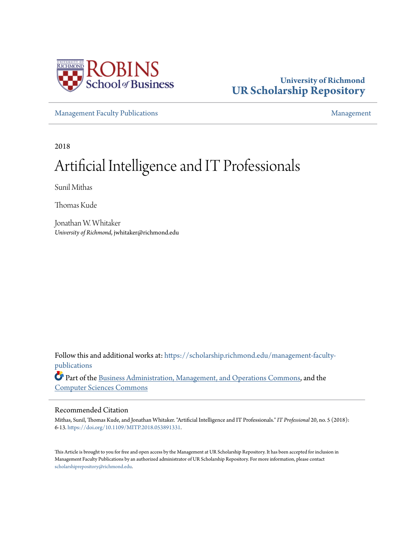

## **University of Richmond [UR Scholarship Repository](https://scholarship.richmond.edu?utm_source=scholarship.richmond.edu%2Fmanagement-faculty-publications%2F77&utm_medium=PDF&utm_campaign=PDFCoverPages)**

[Management Faculty Publications](https://scholarship.richmond.edu/management-faculty-publications?utm_source=scholarship.richmond.edu%2Fmanagement-faculty-publications%2F77&utm_medium=PDF&utm_campaign=PDFCoverPages) [Management](https://scholarship.richmond.edu/management?utm_source=scholarship.richmond.edu%2Fmanagement-faculty-publications%2F77&utm_medium=PDF&utm_campaign=PDFCoverPages)

2018

## Artificial Intelligence and IT Professionals

Sunil Mithas

Thomas Kude

Jonathan W. Whitaker *University of Richmond*, jwhitaker@richmond.edu

Follow this and additional works at: [https://scholarship.richmond.edu/management-faculty](https://scholarship.richmond.edu/management-faculty-publications?utm_source=scholarship.richmond.edu%2Fmanagement-faculty-publications%2F77&utm_medium=PDF&utm_campaign=PDFCoverPages)[publications](https://scholarship.richmond.edu/management-faculty-publications?utm_source=scholarship.richmond.edu%2Fmanagement-faculty-publications%2F77&utm_medium=PDF&utm_campaign=PDFCoverPages)

Part of the [Business Administration, Management, and Operations Commons](http://network.bepress.com/hgg/discipline/623?utm_source=scholarship.richmond.edu%2Fmanagement-faculty-publications%2F77&utm_medium=PDF&utm_campaign=PDFCoverPages), and the [Computer Sciences Commons](http://network.bepress.com/hgg/discipline/142?utm_source=scholarship.richmond.edu%2Fmanagement-faculty-publications%2F77&utm_medium=PDF&utm_campaign=PDFCoverPages)

#### Recommended Citation

Mithas, Sunil, Thomas Kude, and Jonathan Whitaker. "Artificial Intelligence and IT Professionals." *IT Professional* 20, no. 5 (2018): 6-13. [https://doi.org/10.1109/MITP.2018.053891331](https://ieeexplore.ieee.org/document/8509563).

This Article is brought to you for free and open access by the Management at UR Scholarship Repository. It has been accepted for inclusion in Management Faculty Publications by an authorized administrator of UR Scholarship Repository. For more information, please contact [scholarshiprepository@richmond.edu.](mailto:scholarshiprepository@richmond.edu)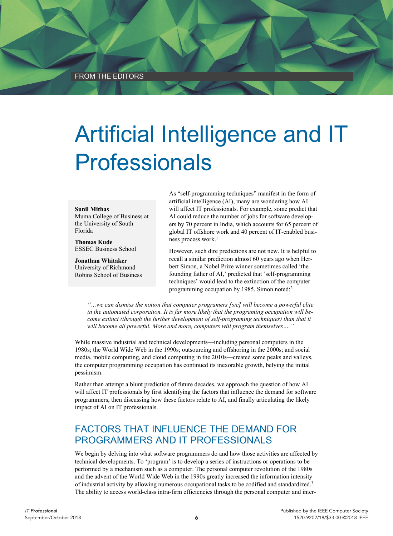# Artificial Intelligence and IT Professionals

#### **Sunil Mithas**

Muma College of Business at the University of South Florida

**Thomas Kude**  ESSEC Business School

**Jonathan Whitaker**  University of Richmond Robins School of Business As "self-programming techniques" manifest in the form of artificial intelligence (AI), many are wondering how AI will affect IT professionals. For example, some predict that AI could reduce the number of jobs for software developers by 70 percent in India, which accounts for 65 percent of global IT offshore work and 40 percent of IT-enabled business process work.<sup>1</sup>

However, such dire predictions are not new. It is helpful to recall a similar prediction almost 60 years ago when Herbert Simon, a Nobel Prize winner sometimes called 'the founding father of AI,' predicted that 'self-programming techniques' would lead to the extinction of the computer programming occupation by 1985. Simon noted:<sup>2</sup>

*"…we can dismiss the notion that computer programers [sic] will become a powerful elite in the automated corporation. It is far more likely that the programing occupation will become extinct (through the further development of self-programing techniques) than that it will become all powerful. More and more, computers will program themselves…."* 

While massive industrial and technical developments—including personal computers in the 1980s; the World Wide Web in the 1990s; outsourcing and offshoring in the 2000s; and social media, mobile computing, and cloud computing in the 2010s—created some peaks and valleys, the computer programming occupation has continued its inexorable growth, belying the initial pessimism.

Rather than attempt a blunt prediction of future decades, we approach the question of how AI will affect IT professionals by first identifying the factors that influence the demand for software programmers, then discussing how these factors relate to AI, and finally articulating the likely impact of AI on IT professionals.

### FACTORS THAT INFLUENCE THE DEMAND FOR PROGRAMMERS AND IT PROFESSIONALS

We begin by delving into what software programmers do and how those activities are affected by technical developments. To 'program' is to develop a series of instructions or operations to be performed by a mechanism such as a computer. The personal computer revolution of the 1980s and the advent of the World Wide Web in the 1990s greatly increased the information intensity of industrial activity by allowing numerous occupational tasks to be codified and standardized.3 The ability to access world-class intra-firm efficiencies through the personal computer and inter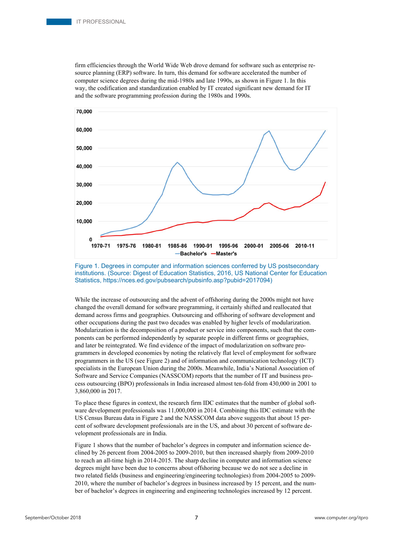firm efficiencies through the World Wide Web drove demand for software such as enterprise resource planning (ERP) software. In turn, this demand for software accelerated the number of computer science degrees during the mid-1980s and late 1990s, as shown in Figure 1. In this way, the codification and standardization enabled by IT created significant new demand for IT and the software programming profession during the 1980s and 1990s.



Figure 1. Degrees in computer and information sciences conferred by US postsecondary institutions. (Source: Digest of Education Statistics, 2016, US National Center for Education Statistics, https://nces.ed.gov/pubsearch/pubsinfo.asp?pubid=2017094)

While the increase of outsourcing and the advent of offshoring during the 2000s might not have changed the overall demand for software programming, it certainly shifted and reallocated that demand across firms and geographies. Outsourcing and offshoring of software development and other occupations during the past two decades was enabled by higher levels of modularization. Modularization is the decomposition of a product or service into components, such that the components can be performed independently by separate people in different firms or geographies, and later be reintegrated. We find evidence of the impact of modularization on software programmers in developed economies by noting the relatively flat level of employment for software programmers in the US (see Figure 2) and of information and communication technology (ICT) specialists in the European Union during the 2000s. Meanwhile, India's National Association of Software and Service Companies (NASSCOM) reports that the number of IT and business process outsourcing (BPO) professionals in India increased almost ten-fold from 430,000 in 2001 to 3,860,000 in 2017.

To place these figures in context, the research firm IDC estimates that the number of global software development professionals was 11,000,000 in 2014. Combining this IDC estimate with the US Census Bureau data in Figure 2 and the NASSCOM data above suggests that about 15 percent of software development professionals are in the US, and about 30 percent of software development professionals are in India.

Figure 1 shows that the number of bachelor's degrees in computer and information science declined by 26 percent from 2004-2005 to 2009-2010, but then increased sharply from 2009-2010 to reach an all-time high in 2014-2015. The sharp decline in computer and information science degrees might have been due to concerns about offshoring because we do not see a decline in two related fields (business and engineering/engineering technologies) from 2004-2005 to 2009- 2010, where the number of bachelor's degrees in business increased by 15 percent, and the number of bachelor's degrees in engineering and engineering technologies increased by 12 percent.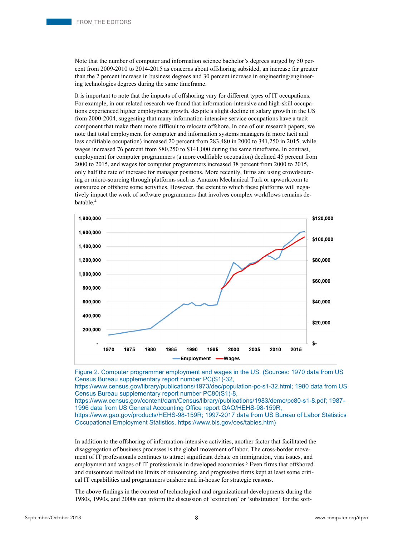Note that the number of computer and information science bachelor's degrees surged by 50 percent from 2009-2010 to 2014-2015 as concerns about offshoring subsided, an increase far greater than the 2 percent increase in business degrees and 30 percent increase in engineering/engineering technologies degrees during the same timeframe.

It is important to note that the impacts of offshoring vary for different types of IT occupations. For example, in our related research we found that information-intensive and high-skill occupations experienced higher employment growth, despite a slight decline in salary growth in the US from 2000-2004, suggesting that many information-intensive service occupations have a tacit component that make them more difficult to relocate offshore. In one of our research papers, we note that total employment for computer and information systems managers (a more tacit and less codifiable occupation) increased 20 percent from 283,480 in 2000 to 341,250 in 2015, while wages increased 76 percent from \$80,250 to \$141,000 during the same timeframe. In contrast, employment for computer programmers (a more codifiable occupation) declined 45 percent from 2000 to 2015, and wages for computer programmers increased 38 percent from 2000 to 2015, only half the rate of increase for manager positions. More recently, firms are using crowdsourcing or micro-sourcing through platforms such as Amazon Mechanical Turk or upwork.com to outsource or offshore some activities. However, the extent to which these platforms will negatively impact the work of software programmers that involves complex workflows remains debatable.4



Figure 2. Computer programmer employment and wages in the US. (Sources: 1970 data from US Census Bureau supplementary report number PC(S1)-32,

https://www.census.gov/library/publications/1973/dec/population-pc-s1-32.html; 1980 data from US Census Bureau supplementary report number PC80(S1)-8,

https://www.census.gov/content/dam/Census/library/publications/1983/demo/pc80-s1-8.pdf; 1987- 1996 data from US General Accounting Office report GAO/HEHS-98-159R,

https://www.gao.gov/products/HEHS-98-159R; 1997-2017 data from US Bureau of Labor Statistics Occupational Employment Statistics, https://www.bls.gov/oes/tables.htm)

In addition to the offshoring of information-intensive activities, another factor that facilitated the disaggregation of business processes is the global movement of labor. The cross-border movement of IT professionals continues to attract significant debate on immigration, visa issues, and employment and wages of IT professionals in developed economies.<sup>5</sup> Even firms that offshored and outsourced realized the limits of outsourcing, and progressive firms kept at least some critical IT capabilities and programmers onshore and in-house for strategic reasons.

The above findings in the context of technological and organizational developments during the 1980s, 1990s, and 2000s can inform the discussion of 'extinction' or 'substitution' for the soft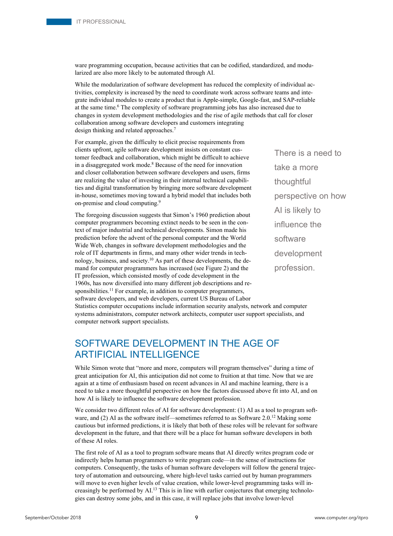ware programming occupation, because activities that can be codified, standardized, and modularized are also more likely to be automated through AI.

While the modularization of software development has reduced the complexity of individual activities, complexity is increased by the need to coordinate work across software teams and integrate individual modules to create a product that is Apple-simple, Google-fast, and SAP-reliable at the same time.6 The complexity of software programming jobs has also increased due to changes in system development methodologies and the rise of agile methods that call for closer collaboration among software developers and customers integrating design thinking and related approaches.<sup>7</sup>

For example, given the difficulty to elicit precise requirements from clients upfront, agile software development insists on constant customer feedback and collaboration, which might be difficult to achieve in a disaggregated work mode.<sup>8</sup> Because of the need for innovation and closer collaboration between software developers and users, firms are realizing the value of investing in their internal technical capabilities and digital transformation by bringing more software development in-house, sometimes moving toward a hybrid model that includes both on-premise and cloud computing.9

The foregoing discussion suggests that Simon's 1960 prediction about computer programmers becoming extinct needs to be seen in the context of major industrial and technical developments. Simon made his prediction before the advent of the personal computer and the World Wide Web, changes in software development methodologies and the role of IT departments in firms, and many other wider trends in technology, business, and society.10 As part of these developments, the demand for computer programmers has increased (see Figure 2) and the IT profession, which consisted mostly of code development in the 1960s, has now diversified into many different job descriptions and responsibilities.<sup>11</sup> For example, in addition to computer programmers, software developers, and web developers, current US Bureau of Labor There is a need to take a more thoughtful perspective on how AI is likely to influence the software development profession.

Statistics computer occupations include information security analysts, network and computer systems administrators, computer network architects, computer user support specialists, and computer network support specialists.

## SOFTWARE DEVELOPMENT IN THE AGE OF ARTIFICIAL INTELLIGENCE

While Simon wrote that "more and more, computers will program themselves" during a time of great anticipation for AI, this anticipation did not come to fruition at that time. Now that we are again at a time of enthusiasm based on recent advances in AI and machine learning, there is a need to take a more thoughtful perspective on how the factors discussed above fit into AI, and on how AI is likely to influence the software development profession.

We consider two different roles of AI for software development: (1) AI as a tool to program software, and (2) AI as the software itself—sometimes referred to as Software  $2.0^{12}$  Making some cautious but informed predictions, it is likely that both of these roles will be relevant for software development in the future, and that there will be a place for human software developers in both of these AI roles.

The first role of AI as a tool to program software means that AI directly writes program code or indirectly helps human programmers to write program code—in the sense of instructions for computers. Consequently, the tasks of human software developers will follow the general trajectory of automation and outsourcing, where high-level tasks carried out by human programmers will move to even higher levels of value creation, while lower-level programming tasks will increasingly be performed by AI.<sup>13</sup> This is in line with earlier conjectures that emerging technologies can destroy some jobs, and in this case, it will replace jobs that involve lower-level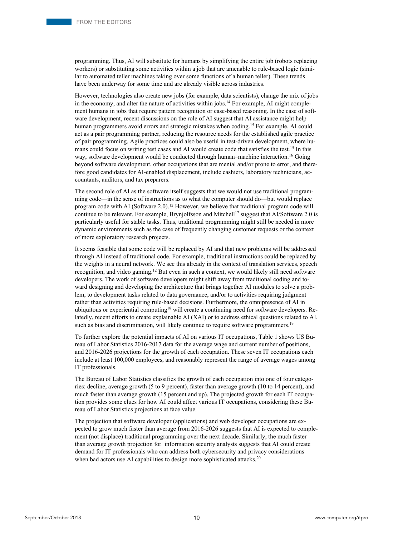programming. Thus, AI will substitute for humans by simplifying the entire job (robots replacing workers) or substituting some activities within a job that are amenable to rule-based logic (similar to automated teller machines taking over some functions of a human teller). These trends have been underway for some time and are already visible across industries.

However, technologies also create new jobs (for example, data scientists), change the mix of jobs in the economy, and alter the nature of activities within jobs.<sup>14</sup> For example, AI might complement humans in jobs that require pattern recognition or case-based reasoning. In the case of software development, recent discussions on the role of AI suggest that AI assistance might help human programmers avoid errors and strategic mistakes when coding.<sup>15</sup> For example, AI could act as a pair programming partner, reducing the resource needs for the established agile practice of pair programming. Agile practices could also be useful in test-driven development, where humans could focus on writing test cases and AI would create code that satisfies the test.<sup>15</sup> In this way, software development would be conducted through human-machine interaction.<sup>16</sup> Going beyond software development, other occupations that are menial and/or prone to error, and therefore good candidates for AI-enabled displacement, include cashiers, laboratory technicians, accountants, auditors, and tax preparers.

The second role of AI as the software itself suggests that we would not use traditional programming code—in the sense of instructions as to what the computer should do—but would replace program code with AI (Software 2.0).<sup>12</sup> However, we believe that traditional program code will continue to be relevant. For example, Brynjolfsson and Mitchell<sup>17</sup> suggest that AI/Software 2.0 is particularly useful for stable tasks. Thus, traditional programming might still be needed in more dynamic environments such as the case of frequently changing customer requests or the context of more exploratory research projects.

It seems feasible that some code will be replaced by AI and that new problems will be addressed through AI instead of traditional code. For example, traditional instructions could be replaced by the weights in a neural network. We see this already in the context of translation services, speech recognition, and video gaming.<sup>12</sup> But even in such a context, we would likely still need software developers. The work of software developers might shift away from traditional coding and toward designing and developing the architecture that brings together AI modules to solve a problem, to development tasks related to data governance, and/or to activities requiring judgment rather than activities requiring rule-based decisions. Furthermore, the omnipresence of AI in ubiquitous or experiential computing<sup>18</sup> will create a continuing need for software developers. Relatedly, recent efforts to create explainable AI (XAI) or to address ethical questions related to AI, such as bias and discrimination, will likely continue to require software programmers.<sup>19</sup>

To further explore the potential impacts of AI on various IT occupations, Table 1 shows US Bureau of Labor Statistics 2016-2017 data for the average wage and current number of positions, and 2016-2026 projections for the growth of each occupation. These seven IT occupations each include at least 100,000 employees, and reasonably represent the range of average wages among IT professionals.

The Bureau of Labor Statistics classifies the growth of each occupation into one of four categories: decline, average growth (5 to 9 percent), faster than average growth (10 to 14 percent), and much faster than average growth (15 percent and up). The projected growth for each IT occupation provides some clues for how AI could affect various IT occupations, considering these Bureau of Labor Statistics projections at face value.

The projection that software developer (applications) and web developer occupations are expected to grow much faster than average from 2016-2026 suggests that AI is expected to complement (not displace) traditional programming over the next decade. Similarly, the much faster than average growth projection for information security analysts suggests that AI could create demand for IT professionals who can address both cybersecurity and privacy considerations when bad actors use AI capabilities to design more sophisticated attacks.<sup>20</sup>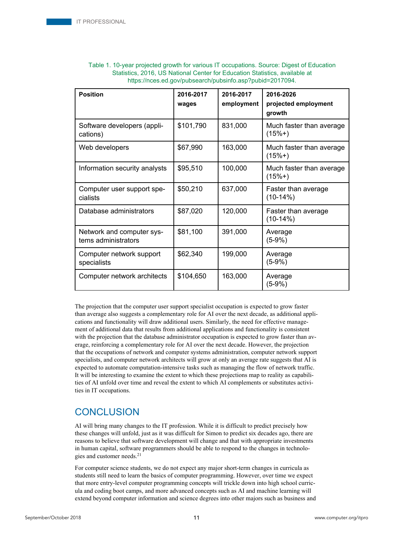| <b>Position</b>                                  | 2016-2017<br>wages | 2016-2017<br>employment | 2016-2026<br>projected employment<br>growth |
|--------------------------------------------------|--------------------|-------------------------|---------------------------------------------|
| Software developers (appli-<br>cations)          | \$101,790          | 831,000                 | Much faster than average<br>$(15%+)$        |
| Web developers                                   | \$67,990           | 163,000                 | Much faster than average<br>$(15%+)$        |
| Information security analysts                    | \$95,510           | 100,000                 | Much faster than average<br>$(15%+)$        |
| Computer user support spe-<br>cialists           | \$50,210           | 637,000                 | Faster than average<br>$(10-14%)$           |
| Database administrators                          | \$87,020           | 120,000                 | Faster than average<br>$(10-14%)$           |
| Network and computer sys-<br>tems administrators | \$81,100           | 391,000                 | Average<br>$(5-9%)$                         |
| Computer network support<br>specialists          | \$62,340           | 199,000                 | Average<br>$(5-9%)$                         |
| Computer network architects                      | \$104,650          | 163,000                 | Average<br>$(5-9%)$                         |

#### Table 1. 10-year projected growth for various IT occupations. Source: Digest of Education Statistics, 2016, US National Center for Education Statistics, available at https://nces.ed.gov/pubsearch/pubsinfo.asp?pubid=2017094.

The projection that the computer user support specialist occupation is expected to grow faster than average also suggests a complementary role for AI over the next decade, as additional applications and functionality will draw additional users. Similarly, the need for effective management of additional data that results from additional applications and functionality is consistent with the projection that the database administrator occupation is expected to grow faster than average, reinforcing a complementary role for AI over the next decade. However, the projection that the occupations of network and computer systems administration, computer network support specialists, and computer network architects will grow at only an average rate suggests that AI is expected to automate computation-intensive tasks such as managing the flow of network traffic. It will be interesting to examine the extent to which these projections map to reality as capabilities of AI unfold over time and reveal the extent to which AI complements or substitutes activities in IT occupations.

#### **CONCLUSION**

AI will bring many changes to the IT profession. While it is difficult to predict precisely how these changes will unfold, just as it was difficult for Simon to predict six decades ago, there are reasons to believe that software development will change and that with appropriate investments in human capital, software programmers should be able to respond to the changes in technologies and customer needs.<sup>21</sup>

For computer science students, we do not expect any major short-term changes in curricula as students still need to learn the basics of computer programming. However, over time we expect that more entry-level computer programming concepts will trickle down into high school curricula and coding boot camps, and more advanced concepts such as AI and machine learning will extend beyond computer information and science degrees into other majors such as business and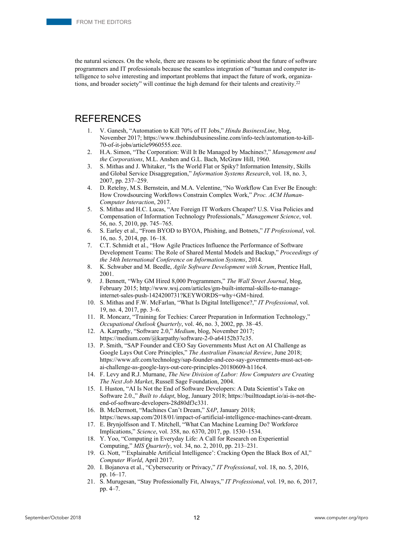the natural sciences. On the whole, there are reasons to be optimistic about the future of software programmers and IT professionals because the seamless integration of "human and computer intelligence to solve interesting and important problems that impact the future of work, organizations, and broader society" will continue the high demand for their talents and creativity.<sup>22</sup>

#### REFERENCES

- 1. V. Ganesh, "Automation to Kill 70% of IT Jobs," *Hindu BusinessLine*, blog, November 2017; https://www.thehindubusinessline.com/info-tech/automation-to-kill-70-of-it-jobs/article9960555.ece.
- 2. H.A. Simon, "The Corporation: Will It Be Managed by Machines?," *Management and the Corporations*, M.L. Anshen and G.L. Bach, McGraw Hill, 1960.
- 3. S. Mithas and J. Whitaker, "Is the World Flat or Spiky? Information Intensity, Skills and Global Service Disaggregation," *Information Systems Research*, vol. 18, no. 3, 2007, pp. 237–259.
- 4. D. Retelny, M.S. Bernstein, and M.A. Velentine, "No Workflow Can Ever Be Enough: How Crowdsourcing Workflows Constrain Complex Work," *Proc. ACM Human-Computer Interaction*, 2017.
- 5. S. Mithas and H.C. Lucas, "Are Foreign IT Workers Cheaper? U.S. Visa Policies and Compensation of Information Technology Professionals," *Management Science*, vol. 56, no. 5, 2010, pp. 745–765.
- 6. S. Earley et al., "From BYOD to BYOA, Phishing, and Botnets," *IT Professional*, vol. 16, no. 5, 2014, pp. 16–18.
- 7. C.T. Schmidt et al., "How Agile Practices Influence the Performance of Software Development Teams: The Role of Shared Mental Models and Backup," *Proceedings of the 34th International Conference on Information Systems*, 2014.
- 8. K. Schwaber and M. Beedle, *Agile Software Development with Scrum*, Prentice Hall, 2001.
- 9. J. Bennett, "Why GM Hired 8,000 Programmers," *The Wall Street Journal*, blog, February 2015; http://www.wsj.com/articles/gm-built-internal-skills-to-manageinternet-sales-push-1424200731?KEYWORDS=why+GM+hired.
- 10. S. Mithas and F.W. McFarlan, "What Is Digital Intelligence?," *IT Professional*, vol. 19, no. 4, 2017, pp. 3–6.
- 11. R. Moncarz, "Training for Techies: Career Preparation in Information Technology," *Occupational Outlook Quarterly*, vol. 46, no. 3, 2002, pp. 38–45.
- 12. A. Karpathy, "Software 2.0," *Medium*, blog, November 2017; https://medium.com/@karpathy/software-2-0-a64152b37c35.
- 13. P. Smith, "SAP Founder and CEO Say Governments Must Act on AI Challenge as Google Lays Out Core Principles," *The Australian Financial Review*, June 2018; https://www.afr.com/technology/sap-founder-and-ceo-say-governments-must-act-onai-challenge-as-google-lays-out-core-principles-20180609-h116c4.
- 14. F. Levy and R.J. Murnane, *The New Division of Labor: How Computers are Creating The Next Job Market*, Russell Sage Foundation, 2004.
- 15. I. Huston, "AI Is Not the End of Software Developers: A Data Scientist's Take on Software 2.0.," *Built to Adapt*, blog, January 2018; https://builttoadapt.io/ai-is-not-theend-of-software-developers-28d80df3c331.
- 16. B. McDermott, "Machines Can't Dream," *SAP*, January 2018; https://news.sap.com/2018/01/impact-of-artificial-intelligence-machines-cant-dream.
- 17. E. Brynjolfsson and T. Mitchell, "What Can Machine Learning Do? Workforce Implications," *Science*, vol. 358, no. 6370, 2017, pp. 1530–1534.
- 18. Y. Yoo, "Computing in Everyday Life: A Call for Research on Experiential Computing," *MIS Quarterly*, vol. 34, no. 2, 2010, pp. 213–231.
- 19. G. Nott, "'Explainable Artificial Intelligence': Cracking Open the Black Box of AI," *Computer World*, April 2017.
- 20. I. Bojanova et al., "Cybersecurity or Privacy," *IT Professional*, vol. 18, no. 5, 2016, pp. 16–17.
- 21. S. Murugesan, "Stay Professionally Fit, Always," *IT Professional*, vol. 19, no. 6, 2017, pp. 4–7.